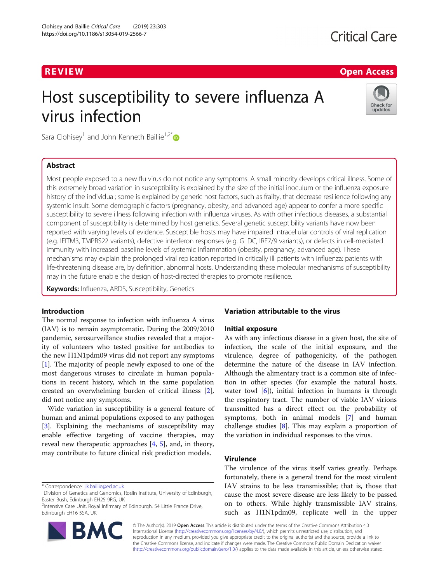# **Critical Care**

## R EVI EW Open Access

# Host susceptibility to severe influenza A virus infection



Sara Clohisey<sup>1</sup> and John Kenneth Baillie<sup>1,2\*</sup>

### Abstract

Most people exposed to a new flu virus do not notice any symptoms. A small minority develops critical illness. Some of this extremely broad variation in susceptibility is explained by the size of the initial inoculum or the influenza exposure history of the individual; some is explained by generic host factors, such as frailty, that decrease resilience following any systemic insult. Some demographic factors (pregnancy, obesity, and advanced age) appear to confer a more specific susceptibility to severe illness following infection with influenza viruses. As with other infectious diseases, a substantial component of susceptibility is determined by host genetics. Several genetic susceptibility variants have now been reported with varying levels of evidence. Susceptible hosts may have impaired intracellular controls of viral replication (e.g. IFITM3, TMPRS22 variants), defective interferon responses (e.g. GLDC, IRF7/9 variants), or defects in cell-mediated immunity with increased baseline levels of systemic inflammation (obesity, pregnancy, advanced age). These mechanisms may explain the prolonged viral replication reported in critically ill patients with influenza: patients with life-threatening disease are, by definition, abnormal hosts. Understanding these molecular mechanisms of susceptibility may in the future enable the design of host-directed therapies to promote resilience.

Keywords: Influenza, ARDS, Susceptibility, Genetics

### Introduction

The normal response to infection with influenza A virus (IAV) is to remain asymptomatic. During the 2009/2010 pandemic, serosurveillance studies revealed that a majority of volunteers who tested positive for antibodies to the new H1N1pdm09 virus did not report any symptoms [[1\]](#page-7-0). The majority of people newly exposed to one of the most dangerous viruses to circulate in human populations in recent history, which in the same population created an overwhelming burden of critical illness [\[2](#page-7-0)], did not notice any symptoms.

Wide variation in susceptibility is a general feature of human and animal populations exposed to any pathogen [[3\]](#page-7-0). Explaining the mechanisms of susceptibility may enable effective targeting of vaccine therapies, may reveal new therapeutic approaches [\[4](#page-7-0), [5\]](#page-7-0), and, in theory, may contribute to future clinical risk prediction models.

<sup>2</sup>Intensive Care Unit, Royal Infirmary of Edinburgh, 54 Little France Drive, Edinburgh EH16 5SA, UK



### Variation attributable to the virus

### Initial exposure

As with any infectious disease in a given host, the site of infection, the scale of the initial exposure, and the virulence, degree of pathogenicity, of the pathogen determine the nature of the disease in IAV infection. Although the alimentary tract is a common site of infection in other species (for example the natural hosts, water fowl  $[6]$  $[6]$  $[6]$ ), initial infection in humans is through the respiratory tract. The number of viable IAV virions transmitted has a direct effect on the probability of symptoms, both in animal models [\[7](#page-7-0)] and human challenge studies [[8](#page-7-0)]. This may explain a proportion of the variation in individual responses to the virus.

#### Virulence

The virulence of the virus itself varies greatly. Perhaps fortunately, there is a general trend for the most virulent IAV strains to be less transmissible; that is, those that cause the most severe disease are less likely to be passed on to others. While highly transmissible IAV strains, such as H1N1pdm09, replicate well in the upper

© The Author(s). 2019 Open Access This article is distributed under the terms of the Creative Commons Attribution 4.0 International License [\(http://creativecommons.org/licenses/by/4.0/](http://creativecommons.org/licenses/by/4.0/)), which permits unrestricted use, distribution, and reproduction in any medium, provided you give appropriate credit to the original author(s) and the source, provide a link to the Creative Commons license, and indicate if changes were made. The Creative Commons Public Domain Dedication waiver [\(http://creativecommons.org/publicdomain/zero/1.0/](http://creativecommons.org/publicdomain/zero/1.0/)) applies to the data made available in this article, unless otherwise stated.

<sup>\*</sup> Correspondence: [j.k.baillie@ed.ac.uk](mailto:j.k.baillie@ed.ac.uk) <sup>1</sup>

<sup>&</sup>lt;sup>1</sup> Division of Genetics and Genomics, Roslin Institute, University of Edinburgh, Easter Bush, Edinburgh EH25 9RG, UK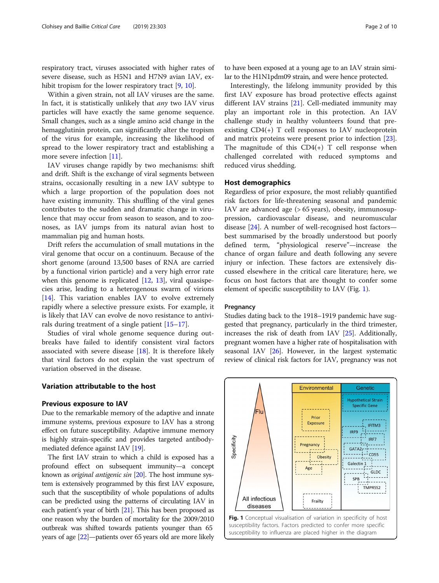respiratory tract, viruses associated with higher rates of severe disease, such as H5N1 and H7N9 avian IAV, ex-hibit tropism for the lower respiratory tract [[9,](#page-7-0) [10\]](#page-7-0).

Within a given strain, not all IAV viruses are the same. In fact, it is statistically unlikely that any two IAV virus particles will have exactly the same genome sequence. Small changes, such as a single amino acid change in the hemagglutinin protein, can significantly alter the tropism of the virus for example, increasing the likelihood of spread to the lower respiratory tract and establishing a more severe infection [\[11\]](#page-7-0).

IAV viruses change rapidly by two mechanisms: shift and drift. Shift is the exchange of viral segments between strains, occasionally resulting in a new IAV subtype to which a large proportion of the population does not have existing immunity. This shuffling of the viral genes contributes to the sudden and dramatic change in virulence that may occur from season to season, and to zoonoses, as IAV jumps from its natural avian host to mammalian pig and human hosts.

Drift refers the accumulation of small mutations in the viral genome that occur on a continuum. Because of the short genome (around 13,500 bases of RNA are carried by a functional virion particle) and a very high error rate when this genome is replicated  $[12, 13]$  $[12, 13]$  $[12, 13]$  $[12, 13]$ , viral quasispecies arise, leading to a heterogenous swarm of virions [[14\]](#page-7-0). This variation enables IAV to evolve extremely rapidly where a selective pressure exists. For example, it is likely that IAV can evolve de novo resistance to antivirals during treatment of a single patient [[15](#page-7-0)–[17](#page-7-0)].

Studies of viral whole genome sequence during outbreaks have failed to identify consistent viral factors associated with severe disease [\[18](#page-7-0)]. It is therefore likely that viral factors do not explain the vast spectrum of variation observed in the disease.

#### Variation attributable to the host

#### Previous exposure to IAV

Due to the remarkable memory of the adaptive and innate immune systems, previous exposure to IAV has a strong effect on future susceptibility. Adaptive immune memory is highly strain-specific and provides targeted antibodymediated defence against IAV [\[19\]](#page-7-0).

The first IAV strain to which a child is exposed has a profound effect on subsequent immunity—a concept known as *original antigenic sin*  $[20]$ . The host immune system is extensively programmed by this first IAV exposure, such that the susceptibility of whole populations of adults can be predicted using the patterns of circulating IAV in each patient's year of birth [[21](#page-7-0)]. This has been proposed as one reason why the burden of mortality for the 2009/2010 outbreak was shifted towards patients younger than 65 years of age [\[22\]](#page-7-0)—patients over 65 years old are more likely

to have been exposed at a young age to an IAV strain similar to the H1N1pdm09 strain, and were hence protected.

Interestingly, the lifelong immunity provided by this first IAV exposure has broad protective effects against different IAV strains [[21\]](#page-7-0). Cell-mediated immunity may play an important role in this protection. An IAV challenge study in healthy volunteers found that preexisting  $CD4(+)$  T cell responses to IAV nucleoprotein and matrix proteins were present prior to infection [\[23](#page-7-0)]. The magnitude of this  $CD4(+)$  T cell response when challenged correlated with reduced symptoms and reduced virus shedding.

#### Host demographics

Regardless of prior exposure, the most reliably quantified risk factors for life-threatening seasonal and pandemic IAV are advanced age (> 65 years), obesity, immunosuppression, cardiovascular disease, and neuromuscular disease [[24](#page-7-0)]. A number of well-recognised host factors best summarised by the broadly understood but poorly defined term, "physiological reserve"—increase the chance of organ failure and death following any severe injury or infection. These factors are extensively discussed elsewhere in the critical care literature; here, we focus on host factors that are thought to confer some element of specific susceptibility to IAV (Fig. 1).

#### **Pregnancy**

Studies dating back to the 1918–1919 pandemic have suggested that pregnancy, particularly in the third trimester, increases the risk of death from IAV [\[25\]](#page-7-0). Additionally, pregnant women have a higher rate of hospitalisation with seasonal IAV [\[26\]](#page-7-0). However, in the largest systematic review of clinical risk factors for IAV, pregnancy was not

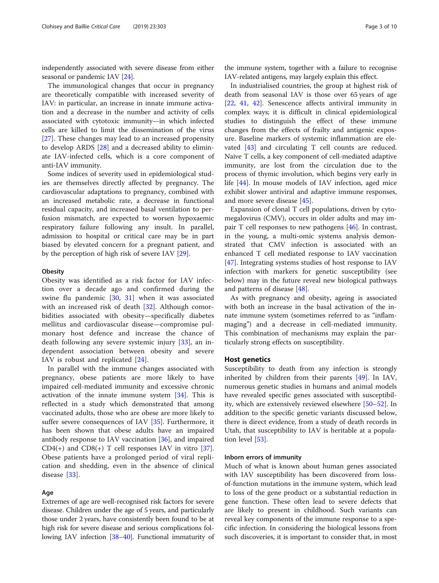independently associated with severe disease from either seasonal or pandemic IAV [[24\]](#page-7-0).

The immunological changes that occur in pregnancy are theoretically compatible with increased severity of IAV: in particular, an increase in innate immune activation and a decrease in the number and activity of cells associated with cytotoxic immunity—in which infected cells are killed to limit the dissemination of the virus [[27\]](#page-7-0). These changes may lead to an increased propensity to develop ARDS [\[28\]](#page-7-0) and a decreased ability to eliminate IAV-infected cells, which is a core component of anti-IAV immunity.

Some indices of severity used in epidemiological studies are themselves directly affected by pregnancy. The cardiovascular adaptations to pregnancy, combined with an increased metabolic rate, a decrease in functional residual capacity, and increased basal ventilation to perfusion mismatch, are expected to worsen hypoxaemic respiratory failure following any insult. In parallel, admission to hospital or critical care may be in part biased by elevated concern for a pregnant patient, and by the perception of high risk of severe IAV [\[29](#page-7-0)].

#### **Obesity**

Obesity was identified as a risk factor for IAV infection over a decade ago and confirmed during the swine flu pandemic [[30,](#page-7-0) [31](#page-7-0)] when it was associated with an increased risk of death [\[32](#page-7-0)]. Although comorbidities associated with obesity—specifically diabetes mellitus and cardiovascular disease—compromise pulmonary host defence and increase the chance of death following any severe systemic injury [\[33](#page-7-0)], an independent association between obesity and severe IAV is robust and replicated [\[24](#page-7-0)].

In parallel with the immune changes associated with pregnancy, obese patients are more likely to have impaired cell-mediated immunity and excessive chronic activation of the innate immune system [\[34\]](#page-7-0). This is reflected in a study which demonstrated that among vaccinated adults, those who are obese are more likely to suffer severe consequences of IAV [[35\]](#page-7-0). Furthermore, it has been shown that obese adults have an impaired antibody response to IAV vaccination [\[36\]](#page-7-0), and impaired  $CD4(+)$  and  $CD8(+)$  T cell responses IAV in vitro [\[37](#page-7-0)]. Obese patients have a prolonged period of viral replication and shedding, even in the absence of clinical disease [[33](#page-7-0)].

#### Age

Extremes of age are well-recognised risk factors for severe disease. Children under the age of 5 years, and particularly those under 2 years, have consistently been found to be at high risk for severe disease and serious complications following IAV infection [[38](#page-8-0)–[40\]](#page-8-0). Functional immaturity of

the immune system, together with a failure to recognise IAV-related antigens, may largely explain this effect.

In industrialised countries, the group at highest risk of death from seasonal IAV is those over 65 years of age [[22,](#page-7-0) [41](#page-8-0), [42\]](#page-8-0). Senescence affects antiviral immunity in complex ways; it is difficult in clinical epidemiological studies to distinguish the effect of these immune changes from the effects of frailty and antigenic exposure. Baseline markers of systemic inflammation are elevated [[43\]](#page-8-0) and circulating T cell counts are reduced. Naive T cells, a key component of cell-mediated adaptive immunity, are lost from the circulation due to the process of thymic involution, which begins very early in life [\[44](#page-8-0)]. In mouse models of IAV infection, aged mice exhibit slower antiviral and adaptive immune responses, and more severe disease [[45\]](#page-8-0).

Expansion of clonal T cell populations, driven by cytomegalovirus (CMV), occurs in older adults and may impair T cell responses to new pathogens [[46\]](#page-8-0). In contrast, in the young, a multi-omic systems analysis demonstrated that CMV infection is associated with an enhanced T cell mediated response to IAV vaccination [[47\]](#page-8-0). Integrating systems studies of host response to IAV infection with markers for genetic susceptibility (see below) may in the future reveal new biological pathways and patterns of disease [\[48](#page-8-0)].

As with pregnancy and obesity, ageing is associated with both an increase in the basal activation of the innate immune system (sometimes referred to as "inflammaging") and a decrease in cell-mediated immunity. This combination of mechanisms may explain the particularly strong effects on susceptibility.

#### Host genetics

Susceptibility to death from any infection is strongly inherited by children from their parents [[49\]](#page-8-0). In IAV, numerous genetic studies in humans and animal models have revealed specific genes associated with susceptibility, which are extensively reviewed elsewhere [[50](#page-8-0)–[52](#page-8-0)]. In addition to the specific genetic variants discussed below, there is direct evidence, from a study of death records in Utah, that susceptibility to IAV is heritable at a population level [\[53](#page-8-0)].

#### Inborn errors of immunity

Much of what is known about human genes associated with IAV susceptibility has been discovered from lossof-function mutations in the immune system, which lead to loss of the gene product or a substantial reduction in gene function. These often lead to severe defects that are likely to present in childhood. Such variants can reveal key components of the immune response to a specific infection. In considering the biological lessons from such discoveries, it is important to consider that, in most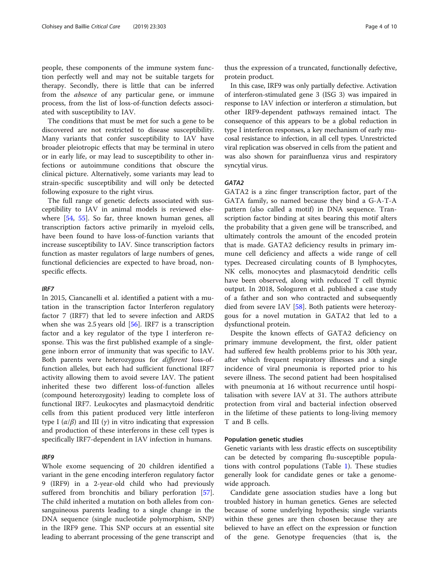people, these components of the immune system function perfectly well and may not be suitable targets for therapy. Secondly, there is little that can be inferred from the absence of any particular gene, or immune process, from the list of loss-of-function defects associated with susceptibility to IAV.

The conditions that must be met for such a gene to be discovered are not restricted to disease susceptibility. Many variants that confer susceptibility to IAV have broader pleiotropic effects that may be terminal in utero or in early life, or may lead to susceptibility to other infections or autoimmune conditions that obscure the clinical picture. Alternatively, some variants may lead to strain-specific susceptibility and will only be detected following exposure to the right virus.

The full range of genetic defects associated with susceptibility to IAV in animal models is reviewed elsewhere [\[54](#page-8-0), [55](#page-8-0)]. So far, three known human genes, all transcription factors active primarily in myeloid cells, have been found to have loss-of-function variants that increase susceptibility to IAV. Since transcription factors function as master regulators of large numbers of genes, functional deficiencies are expected to have broad, nonspecific effects.

#### IRF7

In 2015, Ciancanelli et al. identified a patient with a mutation in the transcription factor Interferon regulatory factor 7 (IRF7) that led to severe infection and ARDS when she was 2.5 years old [\[56](#page-8-0)]. IRF7 is a transcription factor and a key regulator of the type I interferon response. This was the first published example of a singlegene inborn error of immunity that was specific to IAV. Both parents were heterozygous for different loss-offunction alleles, but each had sufficient functional IRF7 activity allowing them to avoid severe IAV. The patient inherited these two different loss-of-function alleles (compound heterozygosity) leading to complete loss of functional IRF7. Leukocytes and plasmacytoid dendritic cells from this patient produced very little interferon type I  $(\alpha/\beta)$  and III  $(\gamma)$  in vitro indicating that expression and production of these interferons in these cell types is specifically IRF7-dependent in IAV infection in humans.

#### IRF9

Whole exome sequencing of 20 children identified a variant in the gene encoding interferon regulatory factor 9 (IRF9) in a 2-year-old child who had previously suffered from bronchitis and biliary perforation [\[57](#page-8-0)]. The child inherited a mutation on both alleles from consanguineous parents leading to a single change in the DNA sequence (single nucleotide polymorphism, SNP) in the IRF9 gene. This SNP occurs at an essential site leading to aberrant processing of the gene transcript and

thus the expression of a truncated, functionally defective, protein product.

In this case, IRF9 was only partially defective. Activation of interferon-stimulated gene 3 (ISG 3) was impaired in response to IAV infection or interferon  $\alpha$  stimulation, but other IRF9-dependent pathways remained intact. The consequence of this appears to be a global reduction in type I interferon responses, a key mechanism of early mucosal resistance to infection, in all cell types. Unrestricted viral replication was observed in cells from the patient and was also shown for parainfluenza virus and respiratory syncytial virus.

#### GATA2

GATA2 is a zinc finger transcription factor, part of the GATA family, so named because they bind a G-A-T-A pattern (also called a motif) in DNA sequence. Transcription factor binding at sites bearing this motif alters the probability that a given gene will be transcribed, and ultimately controls the amount of the encoded protein that is made. GATA2 deficiency results in primary immune cell deficiency and affects a wide range of cell types. Decreased circulating counts of B lymphocytes, NK cells, monocytes and plasmacytoid dendritic cells have been observed, along with reduced T cell thymic output. In 2018, Sologuren et al. published a case study of a father and son who contracted and subsequently died from severe IAV [[58\]](#page-8-0). Both patients were heterozygous for a novel mutation in GATA2 that led to a dysfunctional protein.

Despite the known effects of GATA2 deficiency on primary immune development, the first, older patient had suffered few health problems prior to his 30th year, after which frequent respiratory illnesses and a single incidence of viral pneumonia is reported prior to his severe illness. The second patient had been hospitalised with pneumonia at 16 without recurrence until hospitalisation with severe IAV at 31. The authors attribute protection from viral and bacterial infection observed in the lifetime of these patients to long-living memory T and B cells.

#### Population genetic studies

Genetic variants with less drastic effects on susceptibility can be detected by comparing flu-susceptible populations with control populations (Table [1](#page-4-0)). These studies generally look for candidate genes or take a genomewide approach.

Candidate gene association studies have a long but troubled history in human genetics. Genes are selected because of some underlying hypothesis; single variants within these genes are then chosen because they are believed to have an effect on the expression or function of the gene. Genotype frequencies (that is, the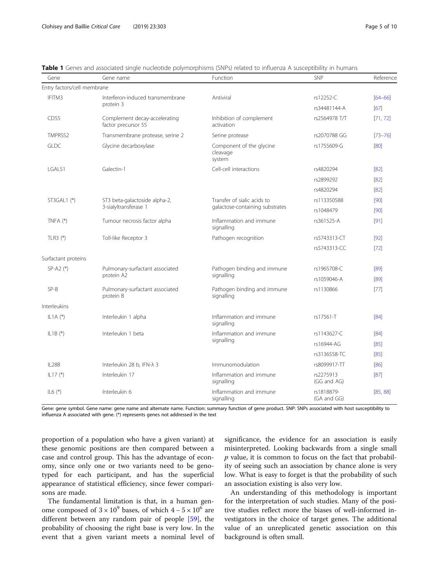| Gene                        | Gene name                                              | Function                                                       | SNP                       | Reference   |
|-----------------------------|--------------------------------------------------------|----------------------------------------------------------------|---------------------------|-------------|
| Entry factors/cell membrane |                                                        |                                                                |                           |             |
| IFITM3                      | Interferon-induced transmembrane<br>protein 3          | Antiviral                                                      | rs12252-C                 | $[64 - 66]$ |
|                             |                                                        |                                                                | rs34481144-A              | [67]        |
| CD55                        | Complement decay-accelerating<br>factor precursor 55   | Inhibition of complement<br>activation                         | rs2564978 T/T             | [71, 72]    |
| TMPRSS2                     | Transmembrane protease, serine 2                       | Serine protease                                                | rs2070788 GG              | $[73 - 76]$ |
| <b>GLDC</b>                 | Glycine decarboxylase                                  | Component of the glycine<br>cleavage<br>system                 | rs1755609-G               | [80]        |
| LGALS1                      | Galectin-1                                             | Cell-cell interactions                                         | rs4820294                 | [82]        |
|                             |                                                        |                                                                | rs2899292                 | [82]        |
|                             |                                                        |                                                                | rs4820294                 | $[82]$      |
| $ST3GAL1$ (*)               | ST3 beta-galactoside alpha-2,<br>3-sialyltransferase 1 | Transfer of sialic acids to<br>galactose-containing substrates | rs113350588               | [90]        |
|                             |                                                        |                                                                | rs1048479                 | [90]        |
| TNFA $(*)$                  | Tumour necrosis factor alpha                           | Inflammation and immune<br>signalling                          | rs361525-A                | [91]        |
| TLR3 $(*)$                  | Toll-like Receptor 3                                   | Pathogen recognition                                           | rs5743313-CT              | [92]        |
|                             |                                                        |                                                                | rs5743313-CC              | $[72]$      |
| Surfactant proteins         |                                                        |                                                                |                           |             |
| $SP-AZ (*)$                 | Pulmonary-surfactant associated<br>protein A2          | Pathogen binding and immune<br>signalling                      | rs1965708-C               | [89]        |
|                             |                                                        |                                                                | rs1059046-A               | [89]        |
| $SP-B$                      | Pulmonary-surfactant associated<br>protein B           | Pathogen binding and immune<br>signalling                      | rs1130866                 | $[77]$      |
| Interleukins                |                                                        |                                                                |                           |             |
| IL1A $(*)$                  | Interleukin 1 alpha                                    | Inflammation and immune<br>signalling                          | rs17561-T                 | [84]        |
| $IL1B$ (*)                  | Interleukin 1 beta                                     | Inflammation and immune<br>signalling                          | rs1143627-C               | [84]        |
|                             |                                                        |                                                                | rs16944-AG                | [85]        |
|                             |                                                        |                                                                | rs3136558-TC              | [85]        |
| IL28B                       | Interleukin 28 b, IFN- $\lambda$ 3                     | Immunomodulation                                               | rs8099917-TT              | [86]        |
| $IL17$ (*)                  | Interleukin 17                                         | Inflammation and immune<br>signalling                          | rs2275913<br>(GG and AG)  | [87]        |
| $IL6$ (*)                   | Interleukin 6                                          | Inflammation and immune<br>signalling                          | rs1818879-<br>(GA and GG) | [85, 88]    |

<span id="page-4-0"></span>Table 1 Genes and associated single nucleotide polymorphisms (SNPs) related to influenza A susceptibility in humans

Gene: gene symbol. Gene name: gene name and alternate name. Function: summary function of gene product. SNP: SNPs associated with host susceptibility to influenza A associated with gene. (\*) represents genes not addressed in the text

proportion of a population who have a given variant) at these genomic positions are then compared between a case and control group. This has the advantage of economy, since only one or two variants need to be genotyped for each participant, and has the superficial appearance of statistical efficiency, since fewer comparisons are made.

The fundamental limitation is that, in a human genome composed of  $3 \times 10^9$  bases, of which  $4 - 5 \times 10^6$  are different between any random pair of people [[59\]](#page-8-0), the probability of choosing the right base is very low. In the event that a given variant meets a nominal level of significance, the evidence for an association is easily misinterpreted. Looking backwards from a single small  $p$  value, it is common to focus on the fact that probability of seeing such an association by chance alone is very low. What is easy to forget is that the probability of such an association existing is also very low.

An understanding of this methodology is important for the interpretation of such studies. Many of the positive studies reflect more the biases of well-informed investigators in the choice of target genes. The additional value of an unreplicated genetic association on this background is often small.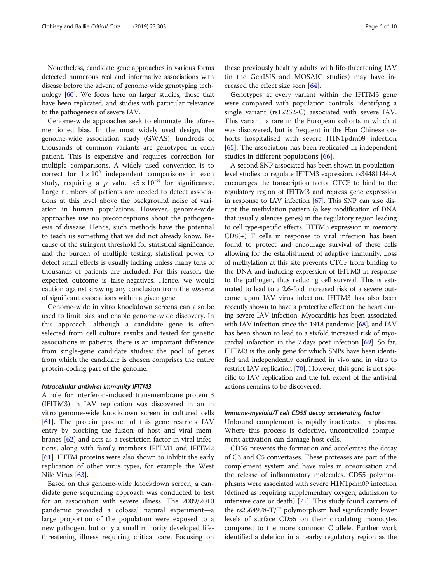Nonetheless, candidate gene approaches in various forms detected numerous real and informative associations with disease before the advent of genome-wide genotyping technology [\[60\]](#page-8-0). We focus here on larger studies, those that have been replicated, and studies with particular relevance to the pathogenesis of severe IAV.

Genome-wide approaches seek to eliminate the aforementioned bias. In the most widely used design, the genome-wide association study (GWAS), hundreds of thousands of common variants are genotyped in each patient. This is expensive and requires correction for multiple comparisons. A widely used convention is to correct for  $1 \times 10^6$  independent comparisons in each study, requiring a *p* value  $\langle 5 \times 10^{-8}$  for significance. Large numbers of patients are needed to detect associations at this level above the background noise of variation in human populations. However, genome-wide approaches use no preconceptions about the pathogenesis of disease. Hence, such methods have the potential to teach us something that we did not already know. Because of the stringent threshold for statistical significance, and the burden of multiple testing, statistical power to detect small effects is usually lacking unless many tens of thousands of patients are included. For this reason, the expected outcome is false-negatives. Hence, we would caution against drawing any conclusion from the absence of significant associations within a given gene.

Genome-wide in vitro knockdown screens can also be used to limit bias and enable genome-wide discovery. In this approach, although a candidate gene is often selected from cell culture results and tested for genetic associations in patients, there is an important difference from single-gene candidate studies: the pool of genes from which the candidate is chosen comprises the entire protein-coding part of the genome.

#### Intracellular antiviral immunity IFITM3

A role for interferon-induced transmembrane protein 3 (IFITM3) in IAV replication was discovered in an in vitro genome-wide knockdown screen in cultured cells [[61\]](#page-8-0). The protein product of this gene restricts IAV entry by blocking the fusion of host and viral membranes [[62\]](#page-8-0) and acts as a restriction factor in viral infections, along with family members IFITM1 and IFITM2 [[61\]](#page-8-0). IFITM proteins were also shown to inhibit the early replication of other virus types, for example the West Nile Virus [[63\]](#page-8-0).

Based on this genome-wide knockdown screen, a candidate gene sequencing approach was conducted to test for an association with severe illness. The 2009/2010 pandemic provided a colossal natural experiment—a large proportion of the population were exposed to a new pathogen, but only a small minority developed lifethreatening illness requiring critical care. Focusing on

these previously healthy adults with life-threatening IAV (in the GenISIS and MOSAIC studies) may have increased the effect size seen [[64\]](#page-8-0).

Genotypes at every variant within the IFITM3 gene were compared with population controls, identifying a single variant (rs12252-C) associated with severe IAV. This variant is rare in the European cohorts in which it was discovered, but is frequent in the Han Chinese cohorts hospitalised with severe H1N1pdm09 infection [[65\]](#page-8-0). The association has been replicated in independent studies in different populations [\[66](#page-8-0)].

A second SNP associated has been shown in populationlevel studies to regulate IFITM3 expression. rs34481144-A encourages the transcription factor CTCF to bind to the regulatory region of IFITM3 and repress gene expression in response to IAV infection [\[67\]](#page-8-0). This SNP can also disrupt the methylation pattern (a key modification of DNA that usually silences genes) in the regulatory region leading to cell type-specific effects. IFITM3 expression in memory  $CD8(+)$  T cells in response to viral infection has been found to protect and encourage survival of these cells allowing for the establishment of adaptive immunity. Loss of methylation at this site prevents CTCF from binding to the DNA and inducing expression of IFITM3 in response to the pathogen, thus reducing cell survival. This is estimated to lead to a 2.6-fold increased risk of a severe outcome upon IAV virus infection. IFITM3 has also been recently shown to have a protective effect on the heart during severe IAV infection. Myocarditis has been associated with IAV infection since the 1918 pandemic [[68](#page-8-0)], and IAV has been shown to lead to a sixfold increased risk of myocardial infarction in the 7 days post infection [[69](#page-8-0)]. So far, IFITM3 is the only gene for which SNPs have been identified and independently confirmed in vivo and in vitro to restrict IAV replication [\[70](#page-8-0)]. However, this gene is not specific to IAV replication and the full extent of the antiviral actions remains to be discovered.

#### Immune-myeloid/T cell CD55 decay accelerating factor

Unbound complement is rapidly inactivated in plasma. Where this process is defective, uncontrolled complement activation can damage host cells.

CD55 prevents the formation and accelerates the decay of C3 and C5 convertases. These proteases are part of the complement system and have roles in opsonisation and the release of inflammatory molecules. CD55 polymorphisms were associated with severe H1N1pdm09 infection (defined as requiring supplementary oxygen, admission to intensive care or death) [[71](#page-8-0)]. This study found carriers of the rs2564978-T/T polymorphism had significantly lower levels of surface CD55 on their circulating monocytes compared to the more common C allele. Further work identified a deletion in a nearby regulatory region as the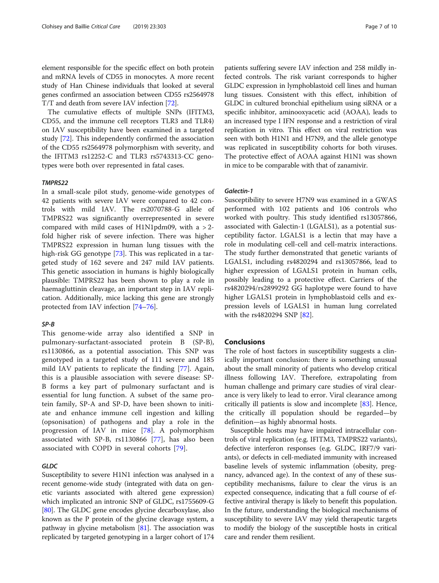element responsible for the specific effect on both protein and mRNA levels of CD55 in monocytes. A more recent study of Han Chinese individuals that looked at several genes confirmed an association between CD55 rs2564978 T/T and death from severe IAV infection [\[72](#page-9-0)].

The cumulative effects of multiple SNPs (IFITM3, CD55, and the immune cell receptors TLR3 and TLR4) on IAV susceptibility have been examined in a targeted study [[72\]](#page-9-0). This independently confirmed the association of the CD55 rs2564978 polymorphism with severity, and the IFITM3 rs12252-C and TLR3 rs5743313-CC genotypes were both over represented in fatal cases.

#### TMPRS22

In a small-scale pilot study, genome-wide genotypes of 42 patients with severe IAV were compared to 42 controls with mild IAV. The rs2070788-G allele of TMPRS22 was significantly overrepresented in severe compared with mild cases of H1N1pdm09, with  $a > 2$ fold higher risk of severe infection. There was higher TMPRS22 expression in human lung tissues with the high-risk GG genotype [[73\]](#page-9-0). This was replicated in a targeted study of 162 severe and 247 mild IAV patients. This genetic association in humans is highly biologically plausible: TMPRS22 has been shown to play a role in haemagluttinin cleavage, an important step in IAV replication. Additionally, mice lacking this gene are strongly protected from IAV infection [\[74](#page-9-0)–[76\]](#page-9-0).

#### SP-B

This genome-wide array also identified a SNP in pulmonary-surfactant-associated protein B (SP-B), rs1130866, as a potential association. This SNP was genotyped in a targeted study of 111 severe and 185 mild IAV patients to replicate the finding [\[77](#page-9-0)]. Again, this is a plausible association with severe disease: SP-B forms a key part of pulmonary surfactant and is essential for lung function. A subset of the same protein family, SP-A and SP-D, have been shown to initiate and enhance immune cell ingestion and killing (opsonisation) of pathogens and play a role in the progression of IAV in mice [[78\]](#page-9-0). A polymorphism associated with SP-B, rs1130866 [\[77](#page-9-0)], has also been associated with COPD in several cohorts [[79\]](#page-9-0).

#### GLDC

Susceptibility to severe H1N1 infection was analysed in a recent genome-wide study (integrated with data on genetic variants associated with altered gene expression) which implicated an intronic SNP of GLDC, rs1755609-G [[80](#page-9-0)]. The GLDC gene encodes glycine decarboxylase, also known as the P protein of the glycine cleavage system, a pathway in glycine metabolism [\[81\]](#page-9-0). The association was replicated by targeted genotyping in a larger cohort of 174 patients suffering severe IAV infection and 258 mildly infected controls. The risk variant corresponds to higher GLDC expression in lymphoblastoid cell lines and human lung tissues. Consistent with this effect, inhibition of GLDC in cultured bronchial epithelium using siRNA or a specific inhibitor, aminooxyacetic acid (AOAA), leads to an increased type I IFN response and a restriction of viral replication in vitro. This effect on viral restriction was seen with both H1N1 and H7N9, and the allele genotype was replicated in susceptibility cohorts for both viruses. The protective effect of AOAA against H1N1 was shown in mice to be comparable with that of zanamivir.

#### Galectin-1

Susceptibility to severe H7N9 was examined in a GWAS performed with 102 patients and 106 controls who worked with poultry. This study identified rs13057866, associated with Galectin-1 (LGALS1), as a potential susceptibility factor. LGALS1 is a lectin that may have a role in modulating cell-cell and cell-matrix interactions. The study further demonstrated that genetic variants of LGALS1, including rs4820294 and rs13057866, lead to higher expression of LGALS1 protein in human cells, possibly leading to a protective effect. Carriers of the rs4820294/rs2899292 GG haplotype were found to have higher LGALS1 protein in lymphoblastoid cells and expression levels of LGALS1 in human lung correlated with the rs4820294 SNP [\[82](#page-9-0)].

#### Conclusions

The role of host factors in susceptibility suggests a clinically important conclusion: there is something unusual about the small minority of patients who develop critical illness following IAV. Therefore, extrapolating from human challenge and primary care studies of viral clearance is very likely to lead to error. Viral clearance among critically ill patients is slow and incomplete [[83](#page-9-0)]. Hence, the critically ill population should be regarded—by definition—as highly abnormal hosts.

Susceptible hosts may have impaired intracellular controls of viral replication (e.g. IFITM3, TMPRS22 variants), defective interferon responses (e.g. GLDC, IRF7/9 variants), or defects in cell-mediated immunity with increased baseline levels of systemic inflammation (obesity, pregnancy, advanced age). In the context of any of these susceptibility mechanisms, failure to clear the virus is an expected consequence, indicating that a full course of effective antiviral therapy is likely to benefit this population. In the future, understanding the biological mechanisms of susceptibility to severe IAV may yield therapeutic targets to modify the biology of the susceptible hosts in critical care and render them resilient.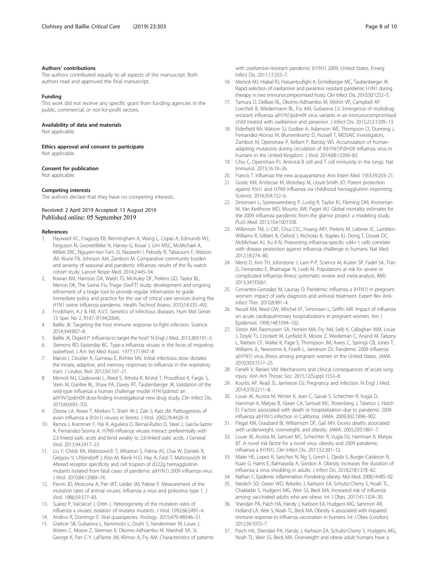#### <span id="page-7-0"></span>Authors' contributions

The authors contributed equally to all aspects of the manuscript. Both authors read and approved the final manuscript.

#### Funding

This work did not receive any specific grant from funding agencies in the public, commercial, or not-for-profit sectors.

#### Availability of data and materials

Not applicable.

Ethics approval and consent to participate Not applicable.

#### Consent for publication

Not applicable.

#### Competing interests

The authors declare that they have no competing interests.

#### Received: 2 April 2019 Accepted: 13 August 2019 Published online: 05 September 2019

#### **References**

- 1. Hayward AC, Fragaszy EB, Bermingham A, Wang L, Copas A, Edmunds WJ, Ferguson N, Goonetilleke N, Harvey G, Kovar J, Lim MSC, McMichael A, Millett ERC, Nguyen-Van-Tam JS, Nazareth I, Pebody R, Tabassum F, Watson JM, Wurie FB, Johnson AM, Zambon M. Comparative community burden and severity of seasonal and pandemic influenza: results of the flu watch cohort study. Lancet Respir Med. 2014;2:445–54.
- 2. Rowan KM, Harrison DA, Walsh TS, McAuley DF, Perkins GD, Taylor BL, Menon DK. The Swine Flu Triage (SwiFT) study: development and ongoing refinement of a triage tool to provide regular information to guide immediate policy and practice for the use of critical care services during the H1N1 swine influenza pandemic. Health Technol Assess. 2010;14:335–492.
- 3. Frodsham, A.J. & Hill, A.V.S. Genetics of infectious diseases. Hum Mol Genet 13 Spec No 2, R187–R194(2004).
- 4. Baillie JK. Targeting the host immune response to fight infection. Science. 2014;344:807–8.
- 5. Baillie JK, Digard P. Influenza to target the host? N Engl J Med. 2013;369:191–3. 6. Slemons RD, Easterday BC. Type-a influenza viruses in the feces of migratory
- waterfowl. J Am Vet Med Assoc. 1977;171:947–8. 7. Marois I, Cloutier A, Garneau É, Richter MV. Initial infectious dose dictates the innate, adaptive, and memory responses to influenza in the respiratory tract. J Leukoc Biol. 2012;92:107–21.
- 8. Memoli MJ, Czajkowski L, Reed S, Athota R, Bristol T, Proudfoot K, Fargis S, Stein M, Dunfee RL, Shaw PA, Davey RT, Taubenberger JK. Validation of the wild-type influenza a human challenge model H1N1pdmist: an a(H1N1)pdm09 dose-finding investigational new drug study. Clin Infect Dis. 2015;60:693–702.
- 9. Zitzow LA, Rowe T, Morken T, Shieh W-J, Zaki S, Katz JM. Pathogenesis of avian influenza a (h5n1) viruses in ferrets. J Virol. 2002;76:4420–9.
- 10. Ramos I, Krammer F, Hai R, Aguilera D, Bernal-Rubio D, Steel J, García-Sastre A, Fernandez-Sesma A. H7N9 influenza viruses interact preferentially with 2,3-linked sialic acids and bind weakly to 2,6-linked sialic acids. J General Virol. 2013;94:2417–23.
- 11. Liu Y, Childs RA, Matrosovich T, Wharton S, Palma AS, Chai W, Daniels R, Gregory V, Uhlendorff J, Kiso M, Klenk H-D, Hay A, Feizi T, Matrosovich M. Altered receptor specificity and cell tropism of d222g hemagglutinin mutants isolated from fatal cases of pandemic a(H1N1) 2009 influenza virus. J Virol. 2010;84:12069–74.
- 12. Parvin JD, Moscona A, Pan WT, Leider JM, Palese P. Measurement of the mutation rates of animal viruses: influenza a virus and poliovirus type 1. J Virol. 1986;59:377–83.
- 13. Suárez P, Valcárcel J, Ortín J. Heterogeneity of the mutation rates of influenza a viruses: isolation of mutator mutants. J Virol. 1992;66:2491–4.
- 14. Andino R, Domingo E. Viral quasispecies. Virology. 2015;479-480:46–51. 15. Graitcer SB, Gubareva L, Kamimoto L, Doshi S, Vandermeer M, Louie J,
- Waters C, Moore Z, Sleeman K, Okomo-Adhiambo M, Marshall SA, St. George K, Pan C-Y, LaPlante JM, Klimov A, Fry AM. Characteristics of patients
- Infect Dis. 2011;17:255–7. 16. Memoli MJ, Hrabal RJ, Hassantoufighi A, Eichelberger MC, Taubenberger JK.
- Rapid selection of oseltamivir and peramivir resistant pandemic H1N1 during therapy in two immunocompromised hosts. Clin Infect Dis. 2010;50:1252–5.
- 17. Tamura D, DeBiasi RL, Okomo-Adhiambo M, Mishin VP, Campbell AP, Loechelt B, Wiedermann BL, Fry AM, Gubareva LV. Emergence of multidrugresistant influenza a(H1N1)pdm09 virus variants in an immunocompromised child treated with oseltamivir and zanamivir. J Infect Dis. 2015;212:1209–13.
- 18. Elderfield RA, Watson SJ, Godlee A, Adamson WE, Thompson CI, Dunning J, Fernandez-Alonso M, Blumenkrantz D, Hussell T, MOSAIC Investigators, Zambon M, Openshaw P, Kellam P, Barclay WS. Accumulation of humanadapting mutations during circulation of A(H1N1)Pdm09 influenza virus in humans in the United Kingdom. J Virol. 2014;88:13269–83.
- 19. Chiu C, Openshaw PJ. Antiviral B cell and T cell immunity in the lungs. Nat Immunol. 2015;16:18–26.
- 20. Francis T. Influenza: the new acquayantance. Ann Intern Med. 1953;39:203–21.
- 21. Gostic KM, Ambrose M, Worobey M, Lloyd-Smith JO. Potent protection against h5n1 and H7N9 influenza via childhood hemagglutinin imprinting. Science. 2016;354:722–6.
- 22. Simonsen L, Spreeuwenberg P, Lustig R, Taylor RJ, Fleming DM, Kroneman M, Van Kerkhove MD, Mounts AW, Paget WJ. Global mortality estimates for the 2009 influenza pandemic from the glamor project: a modeling study. PLoS Med. 2013;10:e1001558.
- 23. Wilkinson TM, Li CKF, Chui CSC, Huang AKY, Perkins M, Liebner JC, Lambkin-Williams R, Gilbert A, Oxford J, Nicholas B, Staples KJ, Dong T, Douek DC, McMichael AJ, Xu X-N. Preexisting influenza-specific cd4+ t cells correlate with disease protection against influenza challenge in humans. Nat Med. 2012;18:274–80.
- 24. Mertz D, Kim TH, Johnstone J, Lam P-P, Science M, Kuster SP, Fadel SA, Tran D, Fernandez E, Bhatnagar N, Loeb M. Populations at risk for severe or complicated influenza illness: systematic review and meta-analysis. BMJ. 2013;347:f5061.
- 25. Cervantes-Gonzalez M, Launay O. Pandemic influenza a (H1N1) in pregnant women: impact of early diagnosis and antiviral treatment. Expert Rev Anti-Infect Ther. 2010;8:981–4.
- 26. Neuzil KM, Reed GW, Mitchel EF, Simonsen L, Griffin MR. Impact of influenza on acute cardiopulmonary hospitalizations in pregnant women. Am J Epidemiol. 1998;148:1094–102.
- 27. Siston AM, Rasmussen SA, Honein MA, Fry AM, Seib K, Callaghan WM, Louie J, Doyle TJ, Crockett M, Lynfield R, Moore Z, Wiedeman C, Anand M, Tabony L, Nielsen CF, Waller K, Page S, Thompson JM, Avery C, Springs CB, Jones T, Williams JL, Newsome K, Finelli L, Jamieson DJ. Pandemic 2009 influenza a(H1N1) virus illness among pregnant women in the United States. JAMA. 2010;303:1517–25.
- 28. Fanelli V, Ranieri VM. Mechanisms and clinical consequences of acute lung injury. Ann Am Thorac Soc. 2015;12(Suppl 1):S3–8.
- 29. Kourtis AP, Read JS, Jamieson DJ. Pregnancy and infection. N Engl J Med. 2014;370:2211–8.
- 30. Louie JK, Acosta M, Winter K, Jean C, Gavali S, Schechter R, Vugia D, Harriman K, Matyas B, Glaser CA, Samuel MC, Rosenberg J, Talarico J, Hatch D. Factors associated with death or hospitalization due to pandemic 2009 influenza a(H1N1) infection in California. JAMA. 2009;302:1896–902.
- 31. Flegal KM, Graubard BI, Williamson DF, Gail MH. Excess deaths associated with underweight, overweight, and obesity. JAMA. 2005;293:1861–7.
- 32. Louie JK, Acosta M, Samuel MC, Schechter R, Vugia DJ, Harriman K, Matyas BT. A novel risk factor for a novel virus: obesity and 2009 pandemic influenza a (H1N1). Clin Infect Dis. 2011;52:301–12.
- 33. Maier HE, Lopez R, Sanchez N, Ng S, Gresh L, Ojeda S, Burger-Calderon R, Kuan G, Harris E, Balmaseda A, Gordon A. Obesity increases the duration of influenza a virus shedding in adults. J Infect Dis. 2018;218:1378–82.
- 34. Nathan C. Epidemic inflammation: Pondering obesity. Mol Med. 2008;14:485–92.
- 35. Neidich SD, Green WD, Rebeles J, Karlsson EA, Schultz-Cherry S, Noah TL, Chakladar S, Hudgens MG, Weir SS, Beck MA. Increased risk of influenza among vaccinated adults who are obese. Int J Obes. 2017;41:1324–30.
- 36. Sheridan PA, Paich HA, Handy J, Karlsson EA, Hudgens MG, Sammon AB, Holland LA, Weir S, Noah TL, Beck MA. Obesity is associated with impaired immune response to influenza vaccination in humans. Int J Obes (London). 2012;36:1072–7.
- 37. Paich HA, Sheridan PA, Handy J, Karlsson EA, Schultz-Cherry S, Hudgens MG, Noah TL, Weir SS, Beck MA. Overweight and obese adult humans have a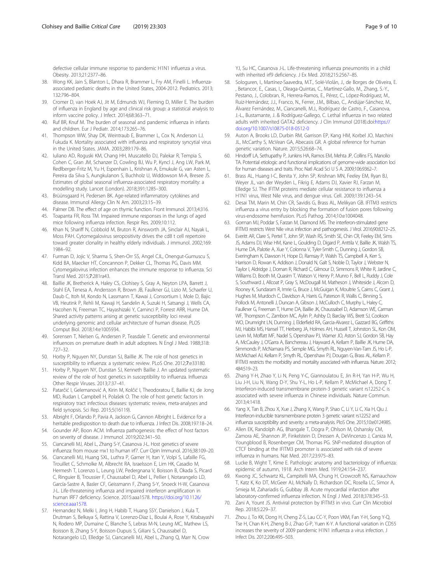<span id="page-8-0"></span>defective cellular immune response to pandemic H1N1 influenza a virus. Obesity. 2013;21:2377–86.

- 38. Wong KK, Jain S, Blanton L, Dhara R, Brammer L, Fry AM, Finelli L. Influenzaassociated pediatric deaths in the United States, 2004-2012. Pediatrics. 2013; 132:796–804.
- 39. Cromer D, van Hoek AJ, Jit M, Edmunds WJ, Fleming D, Miller E. The burden of influenza in England by age and clinical risk group: a statistical analysis to inform vaccine policy. J Infect. 2014;68:363–71.
- 40. Ruf BR, Knuf M. The burden of seasonal and pandemic influenza in infants and children. Eur J Pediatr. 2014;173:265–76.
- 41. Thompson WW, Shay DK, Weintraub E, Brammer L, Cox N, Anderson LJ, Fukuda K. Mortality associated with influenza and respiratory syncytial virus in the United States. JAMA. 2003;289:179–86.
- 42. Iuliano AD, Roguski KM, Chang HH, Muscatello DJ, Palekar R, Tempia S, Cohen C, Gran JM, Schanzer D, Cowling BJ, Wu P, Kyncl J, Ang LW, Park M, Redlberger-Fritz M, Yu H, Espenhain L, Krishnan A, Emukule G, van Asten L, Pereira da Silva S, Aungkulanon S, Buchholz U, Widdowson M-A, Bresee JS. Estimates of global seasonal influenza-associated respiratory mortality: a modelling study. Lancet (London). 2018;391:1285–300.
- 43. Brüünsgaard H, Pedersen BK. Age-related inflammatory cytokines and disease. Immunol Allergy Clin N Am. 2003;23:15–39.
- 44. Palmer DB. The effect of age on thymic function. Front Immunol. 2013;4:316.
- 45. Toapanta FR, Ross TM. Impaired immune responses in the lungs of aged mice following influenza infection. Respir Res. 2009;10:112.
- 46. Khan N, Shariff N, Cobbold M, Bruton R, Ainsworth JA, Sinclair AJ, Nayak L, Moss PAH. Cytomegalovirus seropositivity drives the cd8 t cell repertoire toward greater clonality in healthy elderly individuals. J immunol. 2002;169: 1984–92.
- 47. Furman D, Jojic V, Sharma S, Shen-Orr SS, Angel CJL, Onengut-Gumuscu S, Kidd BA, Maecker HT, Concannon P, Dekker CL, Thomas PG, Davis MM. Cytomegalovirus infection enhances the immune response to influenza. Sci Transl Med. 2015;7:281ra43.
- 48. Baillie JK, Bretherick A, Haley CS, Clohisey S, Gray A, Neyton LPA, Barrett J, Stahl EA, Tenesa A, Andersson R, Brown JB, Faulkner GJ, Lizio M, Schaefer U, Daub C, Itoh M, Kondo N, Lassmann T, Kawai J, Consortium I, Mole D, Bajic VB, Heutink P, Rehli M, Kawaji H, Sandelin A, Suzuki H, Satsangi J, Wells CA, Hacohen N, Freeman TC, Hayashizaki Y, Carninci P, Forrest ARR, Hume DA. Shared activity patterns arising at genetic susceptibility loci reveal underlying genomic and cellular architecture of human disease. PLOS Comput Biol. 2018;14:e1005934.
- 49. Sorensen T, Nielsen G, Andersen P, Teasdale T. Genetic and environmental influences on premature death in adult adoptees. N Engl J Med. 1988;318: 727–32.
- 50. Horby P, Nguyen NY, Dunstan SJ, Baillie JK. The role of host genetics in susceptibility to influenza: a systematic review. PLoS One. 2012;7:e33180.
- 51. Horby P, Nguyen NY, Dunstan SJ, Kenneth Baillie J. An updated systematic review of the role of host genetics in susceptibility to influenza. Influenza Other Respir Viruses. 2013;7:37–41.
- 52. Patarčić I, Gelemanović A, Kirin M, Kolčić I, Theodoratou E, Baillie KJ, de Jong MD, Rudan I, Campbell H, Polašek O. The role of host genetic factors in respiratory tract infectious diseases: systematic review, meta-analyses and field synopsis. Sci Rep. 2015;5(16119).
- 53. Albright F, Orlando P, Pavia A, Jackson G, Cannon Albright L. Evidence for a heritable predisposition to death due to influenza. J Infect Dis. 2008;197:18–24.
- 54. Gounder AP, Boon ACM. Influenza pathogenesis: the effect of host factors on severity of disease. J Immunol. 2019;202:341–50.
- 55. Ciancanelli MJ, Abel L, Zhang S-Y, Casanova J-L. Host genetics of severe influenza: from mouse mx1 to human irf7. Curr Opin Immunol. 2016;38:109–20.
- 56. Ciancanelli MJ, Huang SXL, Luthra P, Garner H, Itan Y, Volpi S, Lafaille FG, Trouillet C, Schmolke M, Albrecht RA, Israelsson E, Lim HK, Casadio M, Hermesh T, Lorenzo L, Leung LW, Pedergnana V, Boisson B, Okada S, Picard C, Ringuier B, Troussier F, Chaussabel D, Abel L, Pellier I, Notarangelo LD, García-Sastre A, Basler CF, Geissmann F, Zhang S-Y, Snoeck H-W, Casanova J-L. Life-threatening influenza and impaired interferon amplification in human IRF7 deficiency. Science. 2015:aaa1578. [https://doi.org/10.1126/](https://doi.org/10.1126/science.aaa1578) [science.aaa1578](https://doi.org/10.1126/science.aaa1578).
- 57. Hernandez N, Melki I, Jing H, Habib T, Huang SSY, Danielson J, Kula T, Drutman S, Belkaya S, Rattina V, Lorenzo-Diaz L, Boulai A, Rose Y, Kitabayashi N, Rodero MP, Dumaine C, Blanche S, Lebras M-N, Leung MC, Mathew LS, Boisson B, Zhang S-Y, Boisson-Dupuis S, Giliani S, Chaussabel D, Notarangelo LD, Elledge SJ, Ciancanelli MJ, Abel L, Zhang Q, Marr N, Crow

YJ, Su HC, Casanova J-L. Life-threatening influenza pneumonitis in a child with inherited irf9 deficiency. J Ex Med. 2018;215:2567–85.

- 58. Sologuren, I., Martínez-Saavedra, M.T., Solé-Violán, J., de Borges de Oliveira, E. , Betancor, E., Casas, I., Oleaga-Quintas, C., Martínez-Gallo, M., Zhang, S.-Y., Pestano, J., Colobran, R., Herrera-Ramos, E., Pérez, C., López-Rodríguez, M., Ruiz-Hernández, J.J., Franco, N., Ferrer, J.M., Bilbao, C., Andújar-Sánchez, M., Álvarez Fernández, M., Ciancanelli, M.J., Rodríguez de Castro, F., Casanova, J.-L., Bustamante, J. & Rodríguez-Gallego, C. Lethal influenza in two related adults with inherited GATA2 deficiency. J Clin Immunol (2018).doi:[https://](https://doi.org/10.1007/s10875-018-0512-0) [doi.org/10.1007/s10875-018-0512-0](https://doi.org/10.1007/s10875-018-0512-0)
- 59. Auton A, Brooks LD, Durbin RM, Garrison EP, Kang HM, Korbel JO, Marchini JL, McCarthy S, McVean GA, Abecasis GR. A global reference for human genetic variation. Nature. 2015;526:68–74.
- 60. Hindorff LA, Sethupathy P, Junkins HA, Ramos EM, Mehta JP, Collins FS, Manolio TA. Potential etiologic and functional implications of genome-wide association loci for human diseases and traits. Proc Natl Acad Sci U S A. 2009;106:9362–7.
- 61. Brass AL, Huang I-C, Benita Y, John SP, Krishnan MN, Feeley EM, Ryan BJ, Weyer JL, van der Weyden L, Fikrig E, Adams DJ, Xavier RJ, Farzan M, Elledge SJ. The IFITM proteins mediate cellular resistance to influenza a H1N1 virus, West Nile virus, and dengue virus. Cell. 2009;139:1243–54.
- 62. Desai TM, Marin M, Chin CR, Savidis G, Brass AL, Melikyan GB. IFITM3 restricts influenza a virus entry by blocking the formation of fusion pores following virus-endosome hemifusion. PLoS Pathog. 2014;10:e1004048.
- 63. Gorman MJ, Poddar S, Farzan M, Diamond MS. The interferon-stimulated gene IFITM3 restricts West Nile virus infection and pathogenesis. J Virol. 2016;90:8212–25.
- 64. Everitt AR, Clare S, Pertel T, John SP, Wash RS, Smith SE, Chin CR, Feeley EM, Sims JS, Adams DJ, Wise HM, Kane L, Goulding D, Digard P, Anttila V, Baillie JK, Walsh TS, Hume DA, Palotie A, Xue Y, Colonna V, Tyler-Smith C, Dunning J, Gordon SB, Everingham K, Dawson H, Hope D, Ramsay P, Walsh TS, Campbell A, Kerr S, Harrison D, Rowan K, Addison J, Donald N, Galt S, Noble D, Taylor J, Webster N, Taylor I, Aldridge J, Dornan R, Richard C, Gilmour D, Simmons R, White R, Jardine C, Williams D, Booth M, Quasim T, Watson V, Henry P, Munro F, Bell L, Ruddy J, Cole S, Southward J, Allcoat P, Gray S, McDougall M, Matheson J, Whiteside J, Alcorn D, Rooney K, Sundaram R, Imrie G, Bruce J, McGuigan K, Moultrie S, Cairns C, Grant J, Hughes M, Murdoch C, Davidson A, Harris G, Paterson R, Wallis C, Binning S, Pollock M, Antonelli J, Duncan A, Gibson J, McCulloch C, Murphy L, Haley C, Faulkner G, Freeman T, Hume DA, Baillie JK, Chaussabel D, Adamson WE, Carman WF, Thompson C, Zambon MC, Aylin P, Ashby D, Barclay WS, Brett SJ, Cookson WO, Drumright LN, Dunning J, Elderfield RA, Garcia-Alvarez L, Gazzard BG, Griffiths MJ, Habibi MS, Hansel TT, Herberg JA, Holmes AH, Hussell T, Johnston SL, Kon OM, Levin M, Moffatt MF, Nadel S, Openshaw PJ, Warner JO, Aston SJ, Gordon SB, Hay A, McCauley J, O'Garra A, Banchereau J, Hayward A, Kellam P, Baillie JK, Hume DA, Simmonds P, McNamara PS, Semple MG, Smyth RL, Nguyen-Van-Tam JS, Ho L-P, McMichael AJ, Kellam P, Smyth RL, Openshaw PJ, Dougan G, Brass AL, Kellam P. IFITM3 restricts the morbidity and mortality associated with influenza. Nature. 2012; 484:519–23.
- 65. Zhang Y-H, Zhao Y, Li N, Peng Y-C, Giannoulatou E, Jin R-H, Yan H-P, Wu H, Liu J-H, Liu N, Wang D-Y, Shu Y-L, Ho L-P, Kellam P, McMichael A, Dong T. Interferon-induced transmembrane protein-3 genetic variant rs12252-C is associated with severe influenza in Chinese individuals. Nature Commun. 2013;4:1418.
- 66. Yang X, Tan B, Zhou X, Xue J, Zhang X, Wang P, Shao C, Li Y, Li C, Xia H, Qiu J. Interferon-inducible transmembrane protein 3 genetic variant rs12252 and influenza susceptibility and severity: a meta-analysis. PloS One. 2015;10:e0124985.
- 67. Allen EK, Randolph AG, Bhangale T, Dogra P, Ohlson M, Oshansky CM, Zamora AE, Shannon JP, Finkelstein D, Dressen A, DeVincenzo J, Caniza M, Youngblood B, Rosenberger CM, Thomas PG. SNP-mediated disruption of CTCF binding at the IFITM3 promoter is associated with risk of severe influenza in humans. Nat Med. 2017;23:975–83.
- 68. Lucke B, Wight T, Kime E. Pathologic anatomy and bacteriology of influenza: epidemic of autumn, 1918. Arch Intern Med. 1919;24:154–237.
- 69. Kwong JC, Schwartz KL, Campitelli MA, Chung H, Crowcroft NS, Karnauchow T, Katz K, Ko DT, McGeer AJ, McNally D, Richardson DC, Rosella LC, Simor A, Smieja M, Zahariadis G, Gubbay JB. Acute myocardial infarction after laboratory-confirmed influenza infection. N Engl J Med. 2018;378:345–53.
- 70. Zani A, Yount JS. Antiviral protection by IFITM3 in vivo. Curr Clin Microbiol Rep. 2018;5:229–37.
- 71. Zhou J, To KK, Dong H, Cheng Z-S, Lau CC-Y, Poon VKM, Fan Y-H, Song Y-Q, Tse H, Chan K-H, Zheng B-J, Zhao G-P, Yuen K-Y. A functional variation in CD55 increases the severity of 2009 pandemic H1N1 influenza a virus infection. J Infect Dis. 2012;206:495–503.